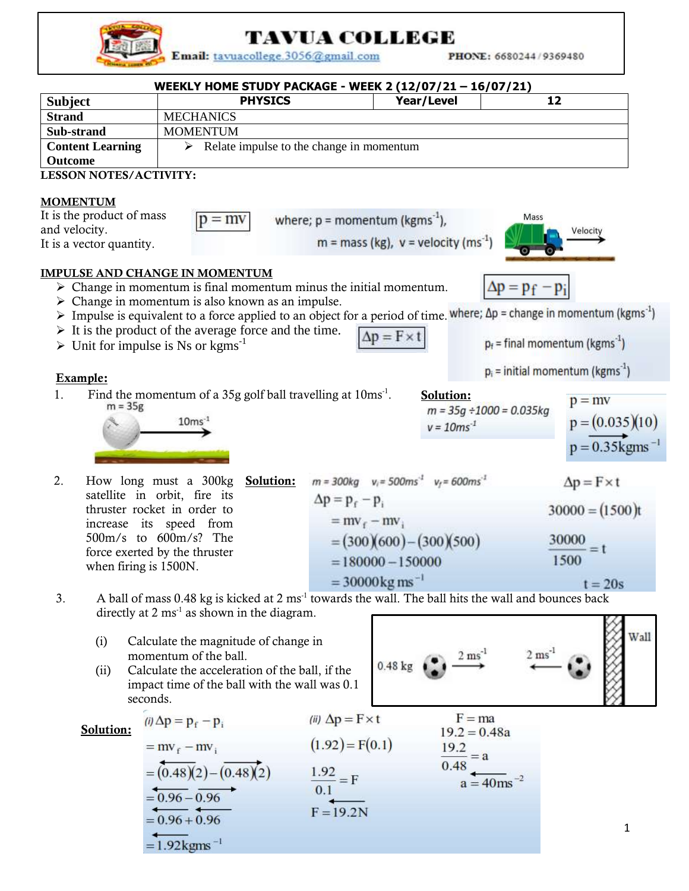

## **TAVUA COLLEGE**

Email: tavuacollege.3056@gmail.com

PHONE: 6680244/9369480

| WEEKLY HOME STUDY PACKAGE - WEEK 2 (12/07/21 - 16/07/21)<br><b>PHYSICS</b><br><b>Subject</b> |                                                                                                                                                                                                                                                                                                                         |                                                                                                                         | Year/Level                                                              | 12                                                                                                                                                                                                                |
|----------------------------------------------------------------------------------------------|-------------------------------------------------------------------------------------------------------------------------------------------------------------------------------------------------------------------------------------------------------------------------------------------------------------------------|-------------------------------------------------------------------------------------------------------------------------|-------------------------------------------------------------------------|-------------------------------------------------------------------------------------------------------------------------------------------------------------------------------------------------------------------|
| <b>Strand</b>                                                                                | <b>MECHANICS</b>                                                                                                                                                                                                                                                                                                        |                                                                                                                         |                                                                         |                                                                                                                                                                                                                   |
| Sub-strand                                                                                   | <b>MOMENTUM</b>                                                                                                                                                                                                                                                                                                         |                                                                                                                         |                                                                         |                                                                                                                                                                                                                   |
| <b>Content Learning</b>                                                                      | ➤                                                                                                                                                                                                                                                                                                                       | Relate impulse to the change in momentum                                                                                |                                                                         |                                                                                                                                                                                                                   |
| Outcome                                                                                      |                                                                                                                                                                                                                                                                                                                         |                                                                                                                         |                                                                         |                                                                                                                                                                                                                   |
| <b>LESSON NOTES/ACTIVITY:</b>                                                                |                                                                                                                                                                                                                                                                                                                         |                                                                                                                         |                                                                         |                                                                                                                                                                                                                   |
| <b>MOMENTUM</b><br>It is the product of mass<br>and velocity.<br>It is a vector quantity.    | $p = mv$                                                                                                                                                                                                                                                                                                                | where; $p =$ momentum (kgms <sup>-1</sup> ),                                                                            | $m =$ mass (kg), $v =$ velocity (ms <sup>-1</sup> )                     | Mass<br>Velocity                                                                                                                                                                                                  |
|                                                                                              | <b>IMPULSE AND CHANGE IN MOMENTUM</b><br>$\triangleright$ Change in momentum is final momentum minus the initial momentum.<br>Change in momentum is also known as an impulse.<br>$\triangleright$ It is the product of the average force and the time.<br>$\triangleright$ Unit for impulse is Ns or kgms <sup>-1</sup> | $\Delta p = F \times t$                                                                                                 |                                                                         | $\Delta p = p_f - p_i$<br>Impulse is equivalent to a force applied to an object for a period of time where; $\Delta p$ = change in momentum (kgms <sup>-1</sup> )<br>$p_f$ = final momentum (kgms <sup>-1</sup> ) |
| Example:                                                                                     |                                                                                                                                                                                                                                                                                                                         |                                                                                                                         |                                                                         | $p_i$ = initial momentum (kgms <sup>-1</sup> )                                                                                                                                                                    |
| 1.<br>$m = 35g$                                                                              | Find the momentum of a 35g golf ball travelling at $10 \text{ms}^{-1}$ .<br>$10ms-1$                                                                                                                                                                                                                                    |                                                                                                                         | Solution:<br>$m = 35g \div 1000 = 0.035kg$<br>$v = 10ms^{-1}$           | $p = mv$<br>$p = (0.035)(10)$<br>$p = 0.35$ kgms <sup>-1</sup>                                                                                                                                                    |
| 2.                                                                                           | How long must a 300kg<br>Solution:<br>satellite in orbit, fire its<br>thruster rocket in order to<br>increase its speed from<br>500m/s to 600m/s? The<br>force exerted by the thruster<br>when firing is 1500N.                                                                                                         | $\Delta p = p_f - p_i$<br>$=$ mv <sub>f</sub> $-$ mv <sub>i</sub><br>$= 180000 - 150000$<br>$= 30000 \text{kg ms}^{-1}$ | $m = 300kg$ $v_i = 500ms^3$ $v_f = 600ms^3$<br>$=(300)(600)-(300)(500)$ | $\Delta p = F \times t$<br>$30000 = (1500)t$<br>30000<br>1500<br>$t = 20s$                                                                                                                                        |
| 3.                                                                                           | A ball of mass 0.48 kg is kicked at 2 ms <sup>-1</sup> towards the wall. The ball hits the wall and bounces back<br>directly at $2 \text{ ms}^{-1}$ as shown in the diagram.                                                                                                                                            |                                                                                                                         |                                                                         |                                                                                                                                                                                                                   |
| (i)<br>(ii)                                                                                  | Calculate the magnitude of change in<br>momentum of the ball.<br>Calculate the acceleration of the ball, if the                                                                                                                                                                                                         | 0.48 kg                                                                                                                 |                                                                         | Wall<br>2 <sub>ms</sub>                                                                                                                                                                                           |
|                                                                                              | impact time of the ball with the wall was 0.1                                                                                                                                                                                                                                                                           |                                                                                                                         |                                                                         |                                                                                                                                                                                                                   |
|                                                                                              | seconds.                                                                                                                                                                                                                                                                                                                |                                                                                                                         |                                                                         |                                                                                                                                                                                                                   |
| Solution:                                                                                    | (i) $\Delta p = p_f - p_i$                                                                                                                                                                                                                                                                                              | (ii) $\Delta p = F \times t$                                                                                            | $F = ma$<br>$19.2 = 0.48a$                                              |                                                                                                                                                                                                                   |